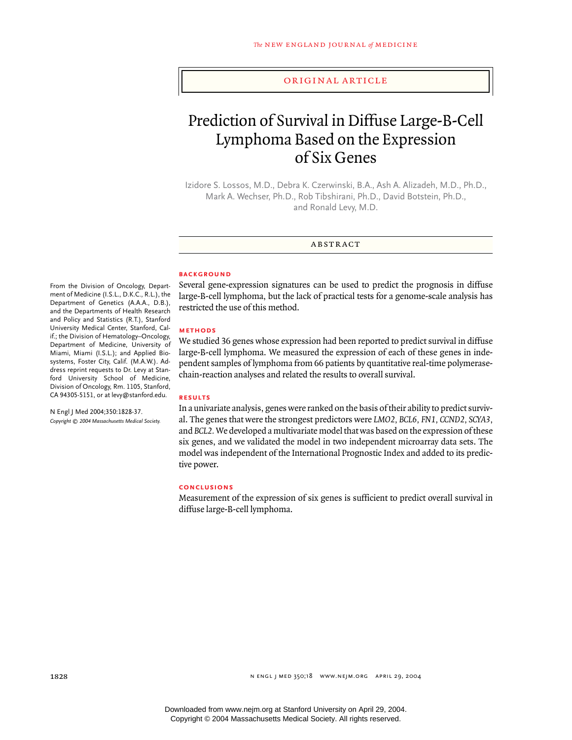#### original article

# Prediction of Survival in Diffuse Large-B-Cell Lymphoma Based on the Expression of Six Genes

Izidore S. Lossos, M.D., Debra K. Czerwinski, B.A., Ash A. Alizadeh, M.D., Ph.D., Mark A. Wechser, Ph.D., Rob Tibshirani, Ph.D., David Botstein, Ph.D., and Ronald Levy, M.D.

**ABSTRACT** 

# **background**

Several gene-expression signatures can be used to predict the prognosis in diffuse large-B-cell lymphoma, but the lack of practical tests for a genome-scale analysis has restricted the use of this method.

#### **methods**

We studied 36 genes whose expression had been reported to predict survival in diffuse large-B-cell lymphoma. We measured the expression of each of these genes in independent samples of lymphoma from 66 patients by quantitative real-time polymerasechain-reaction analyses and related the results to overall survival.

## **results**

In a univariate analysis, genes were ranked on the basis of their ability to predict survival. The genes that were the strongest predictors were *LMO2, BCL6, FN1, CCND2, SCYA3,* and *BCL2.* We developed a multivariate model that was based on the expression of these six genes, and we validated the model in two independent microarray data sets. The model was independent of the International Prognostic Index and added to its predictive power.

## **conclusions**

Measurement of the expression of six genes is sufficient to predict overall survival in diffuse large-B-cell lymphoma.

From the Division of Oncology, Department of Medicine (I.S.L., D.K.C., R.L.), the Department of Genetics (A.A.A., D.B.), and the Departments of Health Research and Policy and Statistics (R.T.), Stanford University Medical Center, Stanford, Calif.; the Division of Hematology–Oncology, Department of Medicine, University of Miami, Miami (I.S.L.); and Applied Biosystems, Foster City, Calif. (M.A.W.). Address reprint requests to Dr. Levy at Stanford University School of Medicine, Division of Oncology, Rm. 1105, Stanford, CA 94305-5151, or at levy@stanford.edu.

N Engl J Med 2004;350:1828-37. *Copyright © 2004 Massachusetts Medical Society.*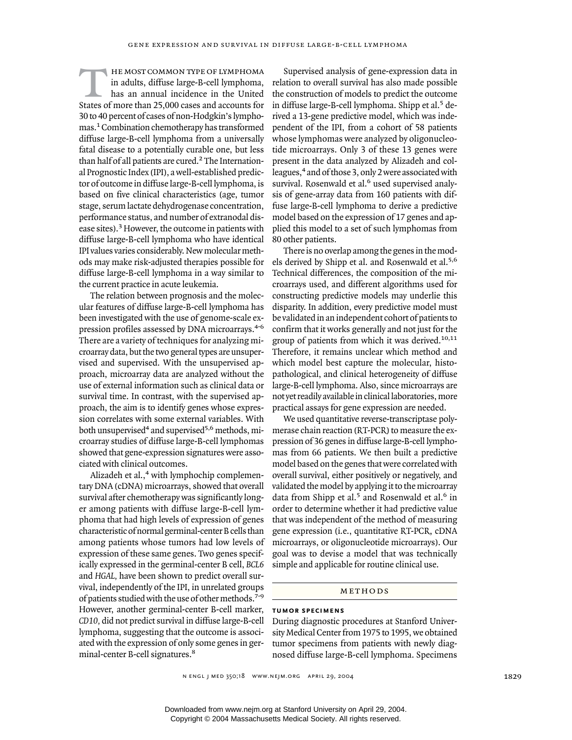he most common type of lymphoma in adults, diffuse large-B-cell lymphoma, has an annual incidence in the United States of more than 25,000 cases and accounts for 30 to 40 percent of cases of non-Hodgkin's lymphomas.1 Combination chemotherapy has transformed diffuse large-B-cell lymphoma from a universally fatal disease to a potentially curable one, but less than half of all patients are cured.<sup>2</sup> The International Prognostic Index (IPI), a well-established predictor of outcome in diffuse large-B-cell lymphoma, is based on five clinical characteristics (age, tumor stage, serum lactate dehydrogenase concentration, performance status, and number of extranodal disease sites).3 However, the outcome in patients with diffuse large-B-cell lymphoma who have identical IPI values varies considerably. New molecular methods may make risk-adjusted therapies possible for diffuse large-B-cell lymphoma in a way similar to the current practice in acute leukemia.  $\overline{T}$ 

The relation between prognosis and the molecular features of diffuse large-B-cell lymphoma has been investigated with the use of genome-scale expression profiles assessed by DNA microarrays.<sup>4-6</sup> There are a variety of techniques for analyzing microarray data, but the two general types are unsupervised and supervised. With the unsupervised approach, microarray data are analyzed without the use of external information such as clinical data or survival time. In contrast, with the supervised approach, the aim is to identify genes whose expression correlates with some external variables. With both unsupervised<sup>4</sup> and supervised<sup>5,6</sup> methods, microarray studies of diffuse large-B-cell lymphomas showed that gene-expression signatures were associated with clinical outcomes.

Alizadeh et al.,<sup>4</sup> with lymphochip complementary DNA (cDNA) microarrays, showed that overall survival after chemotherapy was significantly longer among patients with diffuse large-B-cell lymphoma that had high levels of expression of genes characteristic of normal germinal-center B cells than among patients whose tumors had low levels of expression of these same genes. Two genes specifically expressed in the germinal-center B cell, *BCL6* and *HGAL,* have been shown to predict overall survival, independently of the IPI, in unrelated groups of patients studied with the use of other methods.7-9 However, another germinal-center B-cell marker, *CD10,* did not predict survival in diffuse large-B-cell lymphoma, suggesting that the outcome is associated with the expression of only some genes in germinal-center B-cell signatures.<sup>8</sup>

Supervised analysis of gene-expression data in relation to overall survival has also made possible the construction of models to predict the outcome in diffuse large-B-cell lymphoma. Shipp et al.<sup>5</sup> derived a 13-gene predictive model, which was independent of the IPI, from a cohort of 58 patients whose lymphomas were analyzed by oligonucleotide microarrays. Only 3 of these 13 genes were present in the data analyzed by Alizadeh and colleagues,4 and of those 3, only 2 were associated with survival. Rosenwald et al.<sup>6</sup> used supervised analysis of gene-array data from 160 patients with diffuse large-B-cell lymphoma to derive a predictive model based on the expression of 17 genes and applied this model to a set of such lymphomas from 80 other patients.

There is no overlap among the genes in the models derived by Shipp et al. and Rosenwald et al.5,6 Technical differences, the composition of the microarrays used, and different algorithms used for constructing predictive models may underlie this disparity. In addition, every predictive model must be validated in an independent cohort of patients to confirm that it works generally and not just for the group of patients from which it was derived.<sup>10,11</sup> Therefore, it remains unclear which method and which model best capture the molecular, histopathological, and clinical heterogeneity of diffuse large-B-cell lymphoma. Also, since microarrays are not yet readily available in clinical laboratories, more practical assays for gene expression are needed.

We used quantitative reverse-transcriptase polymerase chain reaction (RT-PCR) to measure the expression of 36 genes in diffuse large-B-cell lymphomas from 66 patients. We then built a predictive model based on the genes that were correlated with overall survival, either positively or negatively, and validated the model by applying it to the microarray data from Shipp et al.<sup>5</sup> and Rosenwald et al.<sup>6</sup> in order to determine whether it had predictive value that was independent of the method of measuring gene expression (i.e., quantitative RT-PCR, cDNA microarrays, or oligonucleotide microarrays). Our goal was to devise a model that was technically simple and applicable for routine clinical use.

#### METHODS

# **tumor specimens**

During diagnostic procedures at Stanford University Medical Center from 1975 to 1995, we obtained tumor specimens from patients with newly diagnosed diffuse large-B-cell lymphoma. Specimens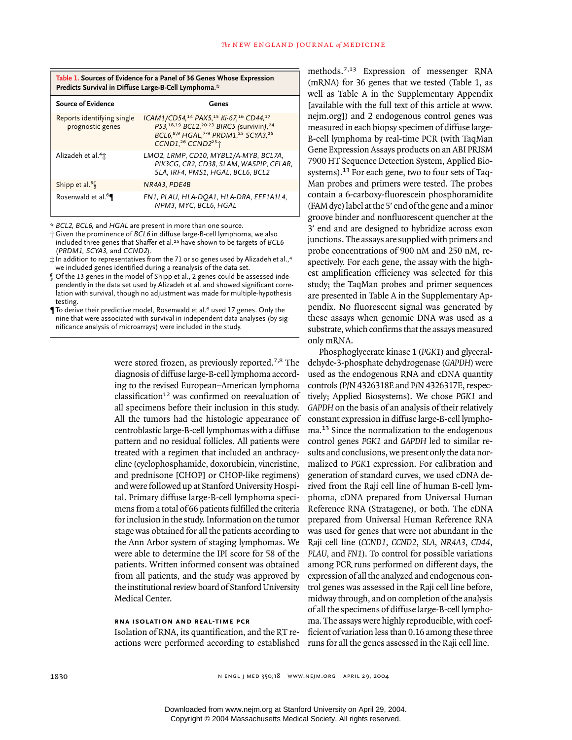| Table 1. Sources of Evidence for a Panel of 36 Genes Whose Expression<br>Predicts Survival in Diffuse Large-B-Cell Lymphoma.* |                                                                                                                                                                                                                                            |  |  |
|-------------------------------------------------------------------------------------------------------------------------------|--------------------------------------------------------------------------------------------------------------------------------------------------------------------------------------------------------------------------------------------|--|--|
| <b>Source of Evidence</b>                                                                                                     | Genes                                                                                                                                                                                                                                      |  |  |
| Reports identifying single<br>prognostic genes                                                                                | ICAM1/CD54, <sup>14</sup> PAX5, <sup>15</sup> Ki-67, <sup>16</sup> CD44, <sup>17</sup><br>P53, 18, 19 BCL2, 20-23 BIRC5 (survivin), 24<br>BCL6, 8,9 HGAL, 7-9 PRDM1, 25 SCYA3, 25<br>CCND1, <sup>26</sup> CCND2 <sup>25</sup> <sup>+</sup> |  |  |
| Alizadeh et al. <sup>4</sup> <sup>+</sup>                                                                                     | LMO2, LRMP, CD10, MYBL1/A-MYB, BCL7A,<br>PIK3CG, CR2, CD38, SLAM, WASPIP, CFLAR,<br>SLA, IRF4, PMS1, HGAL, BCL6, BCL2                                                                                                                      |  |  |
| Shipp et al. <sup>5</sup> $\ll$                                                                                               | NR4A3, PDE4B                                                                                                                                                                                                                               |  |  |
| Rosenwald et al. <sup>6</sup>                                                                                                 | FN1, PLAU, HLA-DOA1, HLA-DRA, EEF1A1L4,<br>NPM3, MYC, BCL6, HGAL                                                                                                                                                                           |  |  |

\* *BCL2, BCL6,* and *HGAL* are present in more than one source.

† Given the prominence of *BCL6* in diffuse large-B-cell lymphoma, we also included three genes that Shaffer et al.25 have shown to be targets of *BCL6* (*PRDM1, SCYA3,* and *CCND2*).

 $\pm$  In addition to representatives from the 71 or so genes used by Alizadeh et al.,<sup>4</sup> we included genes identified during a reanalysis of the data set.

- Of the 13 genes in the model of Shipp et al., 2 genes could be assessed independently in the data set used by Alizadeh et al. and showed significant correlation with survival, though no adjustment was made for multiple-hypothesis testing.
- **To derive their predictive model, Rosenwald et al.<sup>6</sup> used 17 genes. Only the** nine that were associated with survival in independent data analyses (by significance analysis of microarrays) were included in the study.

were stored frozen, as previously reported.7,8 The diagnosis of diffuse large-B-cell lymphoma according to the revised European–American lymphoma classification<sup>12</sup> was confirmed on reevaluation of all specimens before their inclusion in this study. All the tumors had the histologic appearance of centroblastic large-B-cell lymphomas with a diffuse pattern and no residual follicles. All patients were treated with a regimen that included an anthracycline (cyclophosphamide, doxorubicin, vincristine, and prednisone [CHOP] or CHOP-like regimens) and were followed up at Stanford University Hospital. Primary diffuse large-B-cell lymphoma specimens from a total of 66 patients fulfilled the criteria for inclusion in the study. Information on the tumor stage was obtained for all the patients according to the Ann Arbor system of staging lymphomas. We were able to determine the IPI score for 58 of the patients. Written informed consent was obtained from all patients, and the study was approved by the institutional review board of Stanford University Medical Center.

## **rna isolation and real-time pcr**

Isolation of RNA, its quantification, and the RT re-

methods.7,13 Expression of messenger RNA (mRNA) for 36 genes that we tested (Table 1, as well as Table A in the Supplementary Appendix [available with the full text of this article at www. nejm.org]) and 2 endogenous control genes was measured in each biopsy specimen of diffuse large-B-cell lymphoma by real-time PCR (with TaqMan Gene Expression Assays products on an ABI PRISM 7900 HT Sequence Detection System, Applied Biosystems).13 For each gene, two to four sets of Taq-Man probes and primers were tested. The probes contain a 6-carboxy-fluorescein phosphoramidite (FAM dye) label at the 5' end of the gene and a minor groove binder and nonfluorescent quencher at the 3' end and are designed to hybridize across exon junctions. The assays are supplied with primers and probe concentrations of 900 nM and 250 nM, respectively. For each gene, the assay with the highest amplification efficiency was selected for this study; the TaqMan probes and primer sequences are presented in Table A in the Supplementary Appendix. No fluorescent signal was generated by these assays when genomic DNA was used as a substrate, which confirms that the assays measured only mRNA.

actions were performed according to established runs for all the genes assessed in the Raji cell line. Phosphoglycerate kinase 1 (*PGK1*) and glyceraldehyde-3-phosphate dehydrogenase (*GAPDH*) were used as the endogenous RNA and cDNA quantity controls (P/N 4326318E and P/N 4326317E, respectively; Applied Biosystems). We chose *PGK1* and *GAPDH* on the basis of an analysis of their relatively constant expression in diffuse large-B-cell lymphoma.13 Since the normalization to the endogenous control genes *PGK1* and *GAPDH* led to similar results and conclusions, we present only the data normalized to *PGK1* expression. For calibration and generation of standard curves, we used cDNA derived from the Raji cell line of human B-cell lymphoma, cDNA prepared from Universal Human Reference RNA (Stratagene), or both. The cDNA prepared from Universal Human Reference RNA was used for genes that were not abundant in the Raji cell line (*CCND1*, *CCND2*, *SLA*, *NR4A3*, *CD44*, *PLAU*, and *FN1*). To control for possible variations among PCR runs performed on different days, the expression of all the analyzed and endogenous control genes was assessed in the Raji cell line before, midway through, and on completion of the analysis of all the specimens of diffuse large-B-cell lymphoma. The assays were highly reproducible, with coefficient of variation less than 0.16 among these three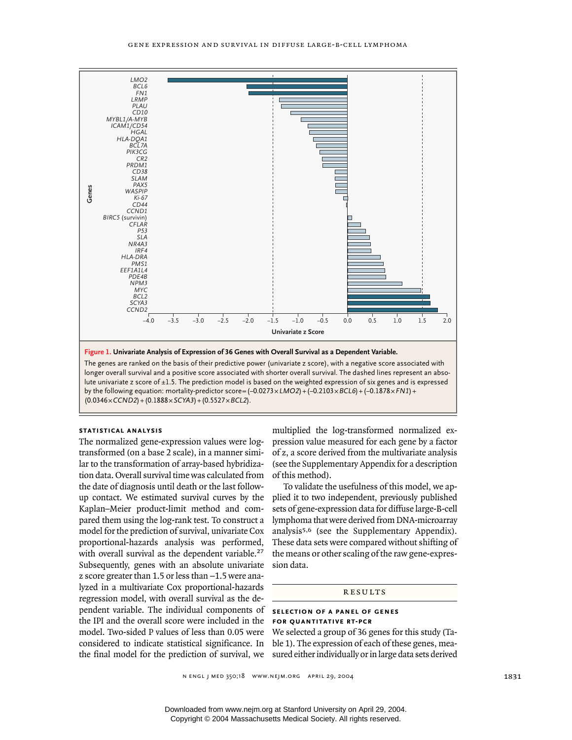

lute univariate z score of  $\pm 1.5$ . The prediction model is based on the weighted expression of six genes and is expressed by the following equation: mortality-predictor score= $(-0.0273 \times LMO2)$ + $(-0.2103 \times BCL6)$ + $(-0.1878 \times FN1)$ +

# **statistical analysis**

The normalized gene-expression values were logtransformed (on a base 2 scale), in a manner similar to the transformation of array-based hybridization data. Overall survival time was calculated from the date of diagnosis until death or the last followup contact. We estimated survival curves by the Kaplan–Meier product-limit method and compared them using the log-rank test. To construct a model for the prediction of survival, univariate Cox proportional-hazards analysis was performed, with overall survival as the dependent variable.<sup>27</sup> Subsequently, genes with an absolute univariate z score greater than  $1.5$  or less than  $-1.5$  were analyzed in a multivariate Cox proportional-hazards regression model, with overall survival as the dependent variable. The individual components of the IPI and the overall score were included in the model. Two-sided P values of less than 0.05 were considered to indicate statistical significance. In ble 1). The expression of each of these genes, meathe final model for the prediction of survival, we sured either individually or in large data sets derived

multiplied the log-transformed normalized expression value measured for each gene by a factor of z, a score derived from the multivariate analysis (see the Supplementary Appendix for a description of this method).

To validate the usefulness of this model, we applied it to two independent, previously published sets of gene-expression data for diffuse large-B-cell lymphoma that were derived from DNA-microarray analysis5,6 (see the Supplementary Appendix). These data sets were compared without shifting of the means or other scaling of the raw gene-expression data.

#### results

## **selection of a panel of genes for quantitative rt-pcr**

We selected a group of 36 genes for this study (Ta-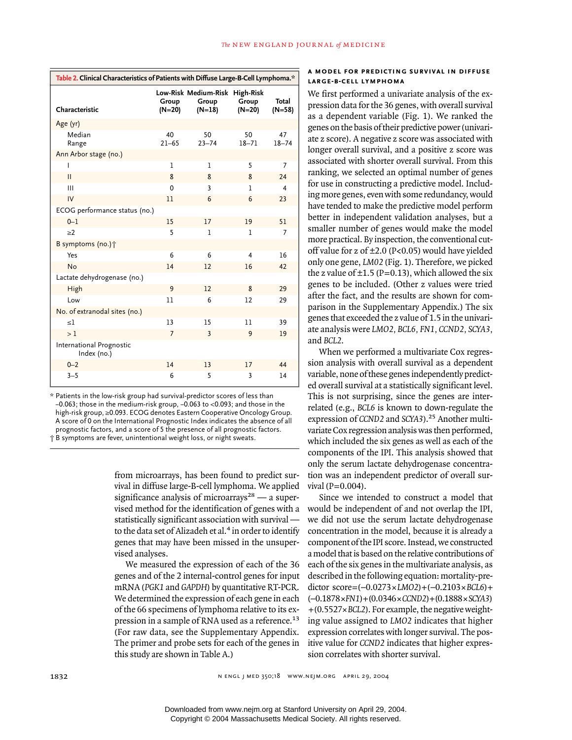| Table 2. Clinical Characteristics of Patients with Diffuse Large-B-Cell Lymphoma.* |                   |                                                     |                   |                   |  |
|------------------------------------------------------------------------------------|-------------------|-----------------------------------------------------|-------------------|-------------------|--|
| Characteristic                                                                     | Group<br>$(N=20)$ | Low-Risk Medium-Risk High-Risk<br>Group<br>$(N=18)$ | Group<br>$(N=20)$ | Total<br>$(N=58)$ |  |
| Age (yr)                                                                           |                   |                                                     |                   |                   |  |
| Median<br>Range                                                                    | 40<br>$21 - 65$   | 50<br>$23 - 74$                                     | 50<br>$18 - 71$   | 47<br>$18 - 74$   |  |
| Ann Arbor stage (no.)                                                              |                   |                                                     |                   |                   |  |
|                                                                                    | 1                 | 1                                                   | 5                 | 7                 |  |
| $\mathbf{H}$                                                                       | 8                 | 8                                                   | 8                 | 24                |  |
| $\mathbf{III}$                                                                     | 0                 | 3                                                   | ı                 | 4                 |  |
| IV                                                                                 | 11                | 6                                                   | 6                 | 23                |  |
| ECOG performance status (no.)                                                      |                   |                                                     |                   |                   |  |
| $0 - 1$                                                                            | 15                | 17                                                  | 19                | 51                |  |
| >2                                                                                 | 5                 | $\mathbf{I}$                                        | $\mathbf{I}$      | $\overline{7}$    |  |
| B symptoms (no.) <sup>†</sup>                                                      |                   |                                                     |                   |                   |  |
| Yes                                                                                | 6                 | 6                                                   | 4                 | 16                |  |
| <b>No</b>                                                                          | 14                | 12                                                  | 16                | 42                |  |
| Lactate dehydrogenase (no.)                                                        |                   |                                                     |                   |                   |  |
| High                                                                               | 9                 | 12                                                  | 8                 | 29                |  |
| Low                                                                                | 11                | 6                                                   | 12                | 29                |  |
| No. of extranodal sites (no.)                                                      |                   |                                                     |                   |                   |  |
| $\leq$ 1                                                                           | 13                | 15                                                  | 11                | 39                |  |
| >1                                                                                 | $\overline{7}$    | 3                                                   | 9                 | 19                |  |
| International Prognostic<br>Index (no.)                                            |                   |                                                     |                   |                   |  |
| $0 - 2$                                                                            | 14                | 13                                                  | 17                | 44                |  |
| $3 - 5$                                                                            | 6                 | 5                                                   | 3                 | 14                |  |

\* Patients in the low-risk group had survival-predictor scores of less than  $-0.063$ ; those in the medium-risk group,  $-0.063$  to  $<$ 0.093; and those in the high-risk group, ≥0.093. ECOG denotes Eastern Cooperative Oncology Group. A score of 0 on the International Prognostic Index indicates the absence of all prognostic factors, and a score of 5 the presence of all prognostic factors. † B symptoms are fever, unintentional weight loss, or night sweats.

> from microarrays, has been found to predict survival in diffuse large-B-cell lymphoma. We applied significance analysis of microarrays $28 - a$  supervised method for the identification of genes with a statistically significant association with survival to the data set of Alizadeh et al.<sup>4</sup> in order to identify genes that may have been missed in the unsupervised analyses.

> We measured the expression of each of the 36 genes and of the 2 internal-control genes for input mRNA (*PGK1* and *GAPDH*) by quantitative RT-PCR. We determined the expression of each gene in each of the 66 specimens of lymphoma relative to its expression in a sample of RNA used as a reference.<sup>13</sup> (For raw data, see the Supplementary Appendix. The primer and probe sets for each of the genes in this study are shown in Table A.)

### **a model for predicting survival in diffuse large-b-cell lymphoma**

We first performed a univariate analysis of the expression data for the 36 genes, with overall survival as a dependent variable (Fig. 1). We ranked the genes on the basis of their predictive power (univariate z score). A negative z score was associated with longer overall survival, and a positive z score was associated with shorter overall survival. From this ranking, we selected an optimal number of genes for use in constructing a predictive model. Including more genes, even with some redundancy, would have tended to make the predictive model perform better in independent validation analyses, but a smaller number of genes would make the model more practical. By inspection, the conventional cutoff value for z of ±2.0 (P<0.05) would have yielded only one gene, *LM02* (Fig. 1). Therefore, we picked the z value of  $\pm$ 1.5 (P=0.13), which allowed the six genes to be included. (Other z values were tried after the fact, and the results are shown for comparison in the Supplementary Appendix.) The six genes that exceeded the z value of 1.5 in the univariate analysis were *LMO2, BCL6, FN1, CCND2, SCYA3,* and *BCL2*.

When we performed a multivariate Cox regression analysis with overall survival as a dependent variable, none of these genes independently predicted overall survival at a statistically significant level. This is not surprising, since the genes are interrelated (e.g., *BCL6* is known to down-regulate the expression of *CCND2* and *SCYA3*).25 Another multivariate Cox regression analysis was then performed, which included the six genes as well as each of the components of the IPI. This analysis showed that only the serum lactate dehydrogenase concentration was an independent predictor of overall survival  $(P=0.004)$ .

Since we intended to construct a model that would be independent of and not overlap the IPI, we did not use the serum lactate dehydrogenase concentration in the model, because it is already a component of the IPI score. Instead, we constructed a model that is based on the relative contributions of each of the six genes in the multivariate analysis, as described in the following equation: mortality-predictor score= $(-0.0273 \times LMO2) + (-0.2103 \times BCL6) +$ (¡0.1878¬*FN1*)+(0.0346¬*CCND2*)+(0.1888¬*SCYA3*) +(0.5527¬*BCL2*). For example, the negative weighting value assigned to *LMO2* indicates that higher expression correlates with longer survival. The positive value for *CCND2* indicates that higher expression correlates with shorter survival.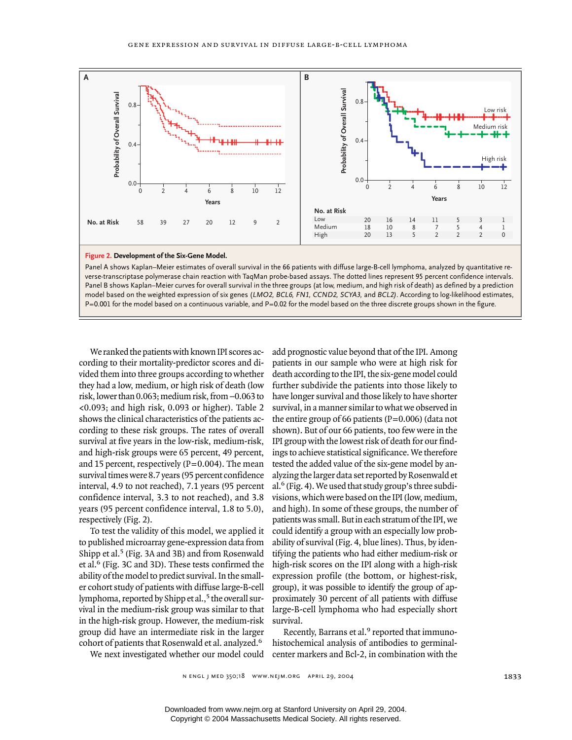

Panel A shows Kaplan–Meier estimates of overall survival in the 66 patients with diffuse large-B-cell lymphoma, analyzed by quantitative reverse-transcriptase polymerase chain reaction with TaqMan probe-based assays. The dotted lines represent 95 percent confidence intervals. Panel B shows Kaplan–Meier curves for overall survival in the three groups (at low, medium, and high risk of death) as defined by a prediction model based on the weighted expression of six genes (*LMO2, BCL6, FN1, CCND2, SCYA3,* and *BCL2)*. According to log-likelihood estimates,

We ranked the patients with known IPI scores according to their mortality-predictor scores and divided them into three groups according to whether they had a low, medium, or high risk of death (low risk, lower than  $0.063$ ; medium risk, from  $-0.063$  to <0.093; and high risk, 0.093 or higher). Table 2 shows the clinical characteristics of the patients according to these risk groups. The rates of overall survival at five years in the low-risk, medium-risk, and high-risk groups were 65 percent, 49 percent, and 15 percent, respectively  $(P=0.004)$ . The mean survival times were 8.7 years (95 percent confidence interval, 4.9 to not reached), 7.1 years (95 percent confidence interval, 3.3 to not reached), and 3.8 years (95 percent confidence interval, 1.8 to 5.0), respectively (Fig. 2).

To test the validity of this model, we applied it to published microarray gene-expression data from Shipp et al.<sup>5</sup> (Fig. 3A and 3B) and from Rosenwald et al.6 (Fig. 3C and 3D). These tests confirmed the ability of the model to predict survival. In the smaller cohort study of patients with diffuse large-B-cell lymphoma, reported by Shipp et al.,<sup>5</sup> the overall survival in the medium-risk group was similar to that in the high-risk group. However, the medium-risk group did have an intermediate risk in the larger cohort of patients that Rosenwald et al. analyzed.<sup>6</sup> We next investigated whether our model could add prognostic value beyond that of the IPI. Among patients in our sample who were at high risk for death according to the IPI, the six-gene model could further subdivide the patients into those likely to have longer survival and those likely to have shorter survival, in a manner similar to what we observed in the entire group of 66 patients ( $P=0.006$ ) (data not shown). But of our 66 patients, too few were in the IPI group with the lowest risk of death for our findings to achieve statistical significance. We therefore tested the added value of the six-gene model by analyzing the larger data set reported by Rosenwald et al.6 (Fig. 4). We used that study group's three subdivisions, which were based on the IPI (low, medium, and high). In some of these groups, the number of patients was small. But in each stratum of the IPI, we could identify a group with an especially low probability of survival (Fig. 4, blue lines). Thus, by identifying the patients who had either medium-risk or high-risk scores on the IPI along with a high-risk expression profile (the bottom, or highest-risk, group), it was possible to identify the group of approximately 30 percent of all patients with diffuse large-B-cell lymphoma who had especially short survival.

Recently, Barrans et al.<sup>9</sup> reported that immunohistochemical analysis of antibodies to germinalcenter markers and Bcl-2, in combination with the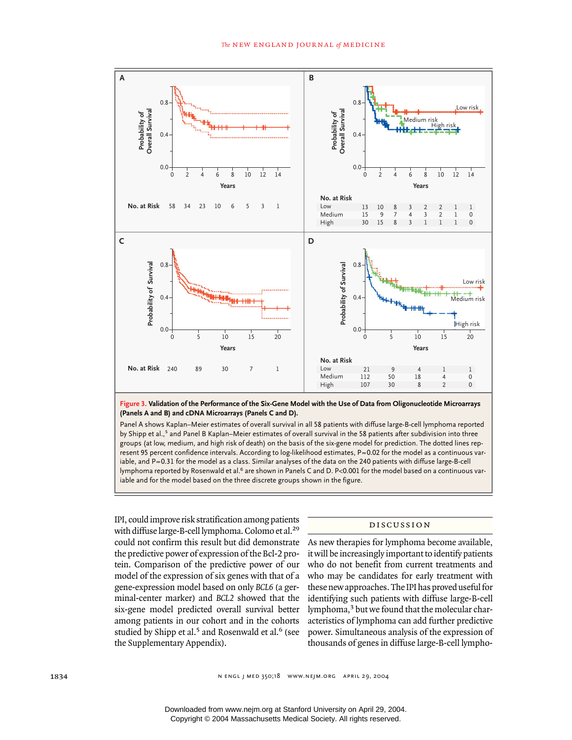

**Figure 3. Validation of the Performance of the Six-Gene Model with the Use of Data from Oligonucleotide Microarrays (Panels A and B) and cDNA Microarrays (Panels C and D).**

Panel A shows Kaplan–Meier estimates of overall survival in all 58 patients with diffuse large-B-cell lymphoma reported by Shipp et al.,<sup>5</sup> and Panel B Kaplan–Meier estimates of overall survival in the 58 patients after subdivision into three groups (at low, medium, and high risk of death) on the basis of the six-gene model for prediction. The dotted lines represent 95 percent confidence intervals. According to log-likelihood estimates, P=0.02 for the model as a continuous variable, and P=0.31 for the model as a class. Similar analyses of the data on the 240 patients with diffuse large-B-cell lymphoma reported by Rosenwald et al.<sup>6</sup> are shown in Panels C and D. P<0.001 for the model based on a continuous variable and for the model based on the three discrete groups shown in the figure.

IPI, could improve risk stratification among patients with diffuse large-B-cell lymphoma. Colomo et al.<sup>29</sup> could not confirm this result but did demonstrate the predictive power of expression of the Bcl-2 protein. Comparison of the predictive power of our model of the expression of six genes with that of a gene-expression model based on only *BCL6* (a germinal-center marker) and *BCL2* showed that the six-gene model predicted overall survival better among patients in our cohort and in the cohorts studied by Shipp et al.<sup>5</sup> and Rosenwald et al.<sup>6</sup> (see the Supplementary Appendix).

#### discussion

As new therapies for lymphoma become available, it will be increasingly important to identify patients who do not benefit from current treatments and who may be candidates for early treatment with these new approaches. The IPI has proved useful for identifying such patients with diffuse large-B-cell lymphoma,3 but we found that the molecular characteristics of lymphoma can add further predictive power. Simultaneous analysis of the expression of thousands of genes in diffuse large-B-cell lympho-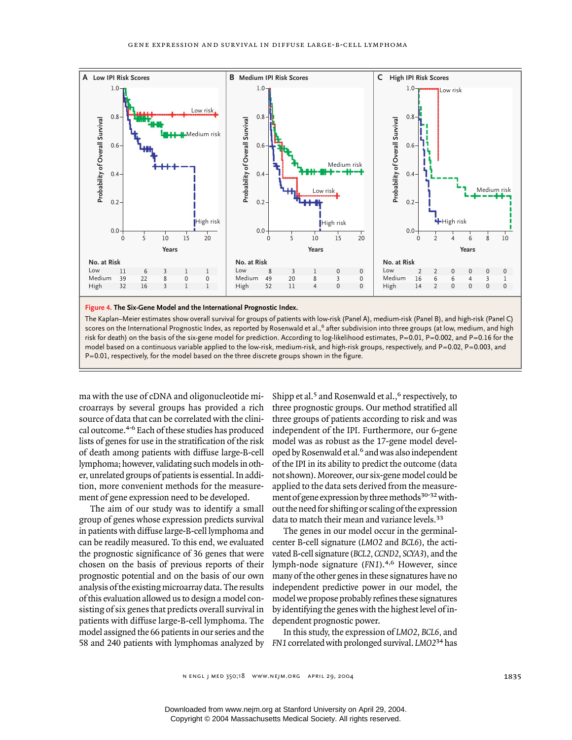

The Kaplan–Meier estimates show overall survival for groups of patients with low-risk (Panel A), medium-risk (Panel B), and high-risk (Panel C) scores on the International Prognostic Index, as reported by Rosenwald et al.,<sup>6</sup> after subdivision into three groups (at low, medium, and high risk for death) on the basis of the six-gene model for prediction. According to log-likelihood estimates, P=0.01, P=0.002, and P=0.16 for the model based on a continuous variable applied to the low-risk, medium-risk, and high-risk groups, respectively, and P=0.02, P=0.003, and P=0.01, respectively, for the model based on the three discrete groups shown in the figure.

ma with the use of cDNA and oligonucleotide microarrays by several groups has provided a rich source of data that can be correlated with the clinical outcome.4-6 Each of these studies has produced lists of genes for use in the stratification of the risk of death among patients with diffuse large-B-cell lymphoma; however, validating such models in other, unrelated groups of patients is essential. In addition, more convenient methods for the measurement of gene expression need to be developed.

The aim of our study was to identify a small group of genes whose expression predicts survival in patients with diffuse large-B-cell lymphoma and can be readily measured. To this end, we evaluated the prognostic significance of 36 genes that were chosen on the basis of previous reports of their prognostic potential and on the basis of our own analysis of the existing microarray data. The results of this evaluation allowed us to design a model consisting of six genes that predicts overall survival in patients with diffuse large-B-cell lymphoma. The model assigned the 66 patients in our series and the 58 and 240 patients with lymphomas analyzed by *FN1* correlated with prolonged survival. *LMO2*34 has

Shipp et al.<sup>5</sup> and Rosenwald et al.,<sup>6</sup> respectively, to three prognostic groups. Our method stratified all three groups of patients according to risk and was independent of the IPI. Furthermore, our 6-gene model was as robust as the 17-gene model developed by Rosenwald et al.<sup>6</sup> and was also independent of the IPI in its ability to predict the outcome (data not shown). Moreover, our six-gene model could be applied to the data sets derived from the measurement of gene expression by three methods<sup>30-32</sup> without the need for shifting or scaling of the expression data to match their mean and variance levels.<sup>33</sup>

The genes in our model occur in the germinalcenter B-cell signature (*LMO2* and *BCL6*), the activated B-cell signature (*BCL2, CCND2*, *SCYA3*), and the lymph-node signature (*FN1*).4,6 However, since many of the other genes in these signatures have no independent predictive power in our model, the model we propose probably refines these signatures by identifying the genes with the highest level of independent prognostic power.

In this study, the expression of *LMO2*, *BCL6,* and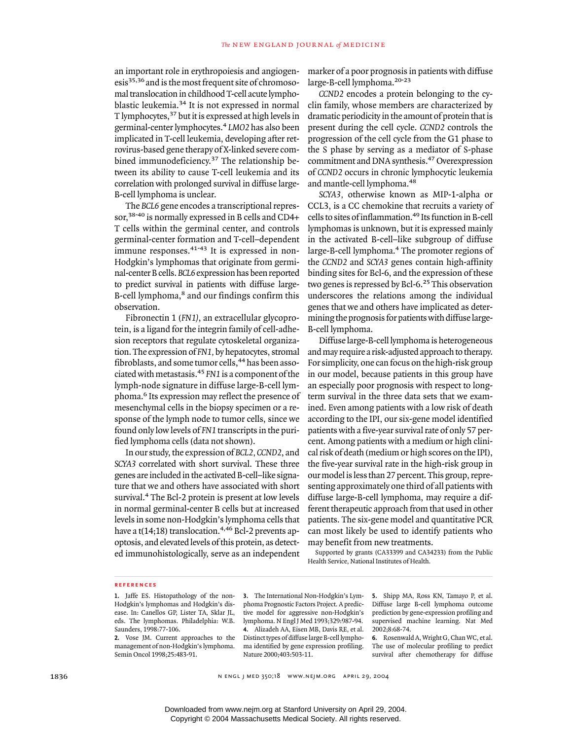an important role in erythropoiesis and angiogenesis<sup>35,36</sup> and is the most frequent site of chromosomal translocation in childhood T-cell acute lymphoblastic leukemia.34 It is not expressed in normal T lymphocytes,<sup>37</sup> but it is expressed at high levels in germinal-center lymphocytes.<sup>4</sup> *LMO2* has also been implicated in T-cell leukemia, developing after retrovirus-based gene therapy of X-linked severe combined immunodeficiency.<sup>37</sup> The relationship between its ability to cause T-cell leukemia and its correlation with prolonged survival in diffuse large-B-cell lymphoma is unclear.

The *BCL6* gene encodes a transcriptional repressor,<sup>38-40</sup> is normally expressed in B cells and CD4+ T cells within the germinal center, and controls germinal-center formation and T-cell–dependent immune responses.<sup>41-43</sup> It is expressed in non-Hodgkin's lymphomas that originate from germinal-center B cells. *BCL6* expression has been reported to predict survival in patients with diffuse large-B-cell lymphoma,<sup>8</sup> and our findings confirm this observation.

Fibronectin 1 (*FN1)*, an extracellular glycoprotein, is a ligand for the integrin family of cell-adhesion receptors that regulate cytoskeletal organization. The expression of *FN1,* by hepatocytes, stromal fibroblasts, and some tumor cells, <sup>44</sup> has been associated with metastasis.<sup>45</sup> *FN1* is a component of the lymph-node signature in diffuse large-B-cell lymphoma.6 Its expression may reflect the presence of mesenchymal cells in the biopsy specimen or a response of the lymph node to tumor cells, since we found only low levels of *FN1* transcripts in the purified lymphoma cells (data not shown).

In our study, the expression of *BCL2, CCND2*, and *SCYA3* correlated with short survival. These three genes are included in the activated B-cell–like signature that we and others have associated with short survival.<sup>4</sup> The Bcl-2 protein is present at low levels in normal germinal-center B cells but at increased levels in some non-Hodgkin's lymphoma cells that have a  $t(14;18)$  translocation.<sup>4,46</sup> Bcl-2 prevents apoptosis, and elevated levels of this protein, as detected immunohistologically, serve as an independent marker of a poor prognosis in patients with diffuse large-B-cell lymphoma.20-23

*CCND2* encodes a protein belonging to the cyclin family, whose members are characterized by dramatic periodicity in the amount of protein that is present during the cell cycle. *CCND2* controls the progression of the cell cycle from the G1 phase to the S phase by serving as a mediator of S-phase commitment and DNA synthesis.47 Overexpression of *CCND2* occurs in chronic lymphocytic leukemia and mantle-cell lymphoma.<sup>48</sup>

*SCYA3,* otherwise known as MIP-1-alpha or CCL3, is a CC chemokine that recruits a variety of cells to sites of inflammation.49 Its function in B-cell lymphomas is unknown, but it is expressed mainly in the activated B-cell–like subgroup of diffuse large-B-cell lymphoma.4 The promoter regions of the *CCND2* and *SCYA3* genes contain high-affinity binding sites for Bcl-6, and the expression of these two genes is repressed by Bcl-6.<sup>25</sup> This observation underscores the relations among the individual genes that we and others have implicated as determining the prognosis for patients with diffuse large-B-cell lymphoma.

Diffuse large-B-cell lymphoma is heterogeneous and may require a risk-adjusted approach to therapy. For simplicity, one can focus on the high-risk group in our model, because patients in this group have an especially poor prognosis with respect to longterm survival in the three data sets that we examined. Even among patients with a low risk of death according to the IPI, our six-gene model identified patients with a five-year survival rate of only 57 percent. Among patients with a medium or high clinical risk of death (medium or high scores on the IPI), the five-year survival rate in the high-risk group in our model is less than 27 percent. This group, representing approximately one third of all patients with diffuse large-B-cell lymphoma, may require a different therapeutic approach from that used in other patients. The six-gene model and quantitative PCR can most likely be used to identify patients who may benefit from new treatments.

Supported by grants (CA33399 and CA34233) from the Public Health Service, National Institutes of Health.

#### **references**

**1.** Jaffe ES. Histopathology of the non-Hodgkin's lymphomas and Hodgkin's disease. In: Canellos GP, Lister TA, Sklar JL, eds. The lymphomas. Philadelphia: W.B. Saunders, 1998:77-106.

**2.** Vose JM. Current approaches to the management of non-Hodgkin's lymphoma. Semin Oncol 1998;25:483-91.

**3.** The International Non-Hodgkin's Lymphoma Prognostic Factors Project. A predictive model for aggressive non-Hodgkin's lymphoma. N Engl J Med 1993;329:987-94. **4.** Alizadeh AA, Eisen MB, Davis RE, et al. Distinct types of diffuse large B-cell lymphoma identified by gene expression profiling. Nature 2000;403:503-11.

**5.** Shipp MA, Ross KN, Tamayo P, et al. Diffuse large B-cell lymphoma outcome prediction by gene-expression profiling and supervised machine learning. Nat Med 2002;8:68-74.

**6.** Rosenwald A, Wright G, Chan WC, et al. The use of molecular profiling to predict survival after chemotherapy for diffuse